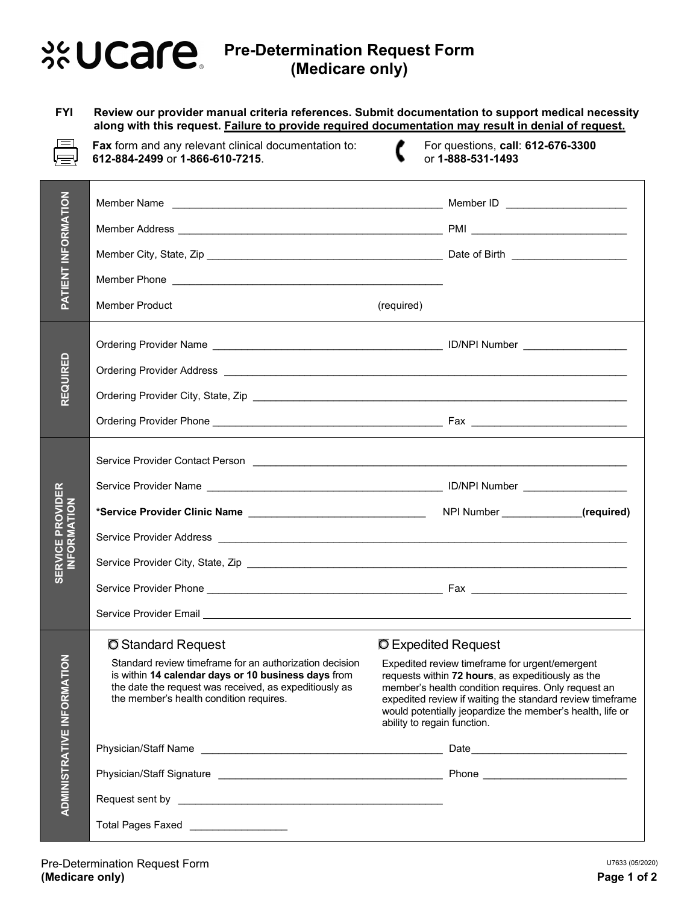## **Pre-Determination Request Form (Medicare only)**

**FYI Review our provider manual criteria references. Submit documentation to support medical necessity along with this request. Failure to provide required documentation may result in denial of request.**



**Fax** form and any relevant clinical documentation to: **612-884-2499** or **1-866-610-7215**.

For questions, **call**: **612-676-3300** or **1-888-531-1493**

| <b>PATIENT INFORMATION</b>             |                                                                                                                                                                                                                                | Member ID ________________________                                                                                                                                                                                                                                                                                  |
|----------------------------------------|--------------------------------------------------------------------------------------------------------------------------------------------------------------------------------------------------------------------------------|---------------------------------------------------------------------------------------------------------------------------------------------------------------------------------------------------------------------------------------------------------------------------------------------------------------------|
|                                        |                                                                                                                                                                                                                                |                                                                                                                                                                                                                                                                                                                     |
|                                        |                                                                                                                                                                                                                                |                                                                                                                                                                                                                                                                                                                     |
|                                        |                                                                                                                                                                                                                                |                                                                                                                                                                                                                                                                                                                     |
|                                        | <b>Member Product</b>                                                                                                                                                                                                          | (required)                                                                                                                                                                                                                                                                                                          |
| REQUIRED                               |                                                                                                                                                                                                                                |                                                                                                                                                                                                                                                                                                                     |
|                                        |                                                                                                                                                                                                                                |                                                                                                                                                                                                                                                                                                                     |
|                                        |                                                                                                                                                                                                                                |                                                                                                                                                                                                                                                                                                                     |
|                                        |                                                                                                                                                                                                                                |                                                                                                                                                                                                                                                                                                                     |
| <b>SERVICE PROVIDER</b><br>INFORMATION |                                                                                                                                                                                                                                |                                                                                                                                                                                                                                                                                                                     |
|                                        |                                                                                                                                                                                                                                |                                                                                                                                                                                                                                                                                                                     |
|                                        |                                                                                                                                                                                                                                |                                                                                                                                                                                                                                                                                                                     |
|                                        |                                                                                                                                                                                                                                |                                                                                                                                                                                                                                                                                                                     |
|                                        |                                                                                                                                                                                                                                |                                                                                                                                                                                                                                                                                                                     |
|                                        |                                                                                                                                                                                                                                |                                                                                                                                                                                                                                                                                                                     |
|                                        | Service Provider Email League and Contract Contract Contract Contract Contract Contract Contract Contract Contract Contract Contract Contract Contract Contract Contract Contract Contract Contract Contract Contract Contract |                                                                                                                                                                                                                                                                                                                     |
| RMATION                                | <b>O</b> Standard Request                                                                                                                                                                                                      | <b>O</b> Expedited Request                                                                                                                                                                                                                                                                                          |
|                                        | Standard review timeframe for an authorization decision<br>is within 14 calendar days or 10 business days from<br>the date the request was received, as expeditiously as<br>the member's health condition requires.            | Expedited review timeframe for urgent/emergent<br>requests within 72 hours, as expeditiously as the<br>member's health condition requires. Only request an<br>expedited review if waiting the standard review timeframe<br>would potentially jeopardize the member's health, life or<br>ability to regain function. |
|                                        |                                                                                                                                                                                                                                |                                                                                                                                                                                                                                                                                                                     |
| <b>ADMINISTRATIVE INFC</b>             |                                                                                                                                                                                                                                |                                                                                                                                                                                                                                                                                                                     |
|                                        |                                                                                                                                                                                                                                |                                                                                                                                                                                                                                                                                                                     |
|                                        | Total Pages Faxed __________________                                                                                                                                                                                           |                                                                                                                                                                                                                                                                                                                     |